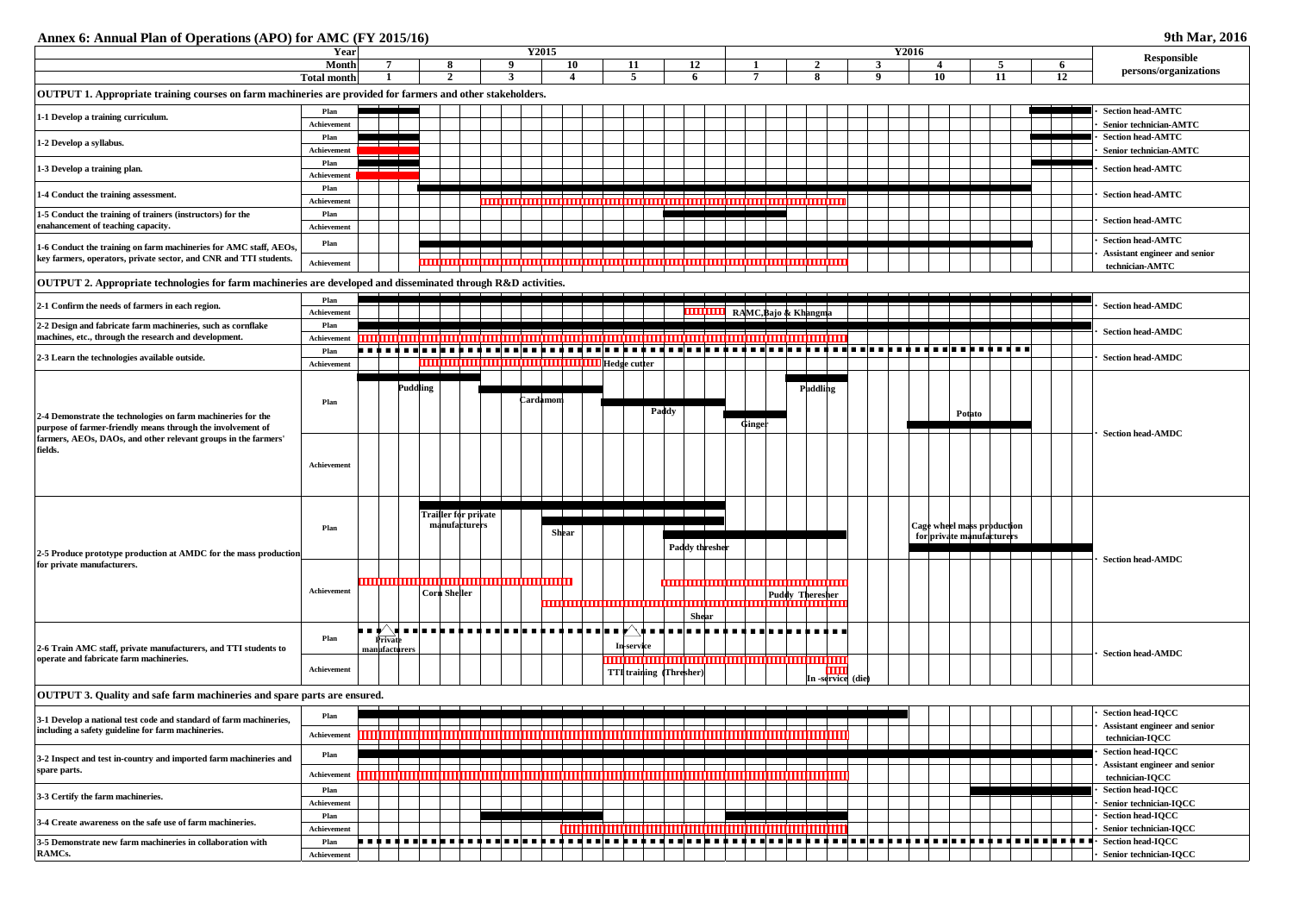## **Annex 6: Annual Plan of Operations (APO) for AMC (FY 2015/16)** 9th Mar, 2016

|                                                                                                                          | Year                |                                 |                             |              | Y2015        |            |                                                                                                                        |                |  |                                   | Y2016                      |                           |        |    | <b>Responsible</b>                                 |  |
|--------------------------------------------------------------------------------------------------------------------------|---------------------|---------------------------------|-----------------------------|--------------|--------------|------------|------------------------------------------------------------------------------------------------------------------------|----------------|--|-----------------------------------|----------------------------|---------------------------|--------|----|----------------------------------------------------|--|
|                                                                                                                          | <b>Month</b>        |                                 | 8<br>$\gamma$               | $\mathbf{Q}$ | <b>10</b>    | 11         | 12                                                                                                                     | $\overline{7}$ |  | $\overline{2}$                    | 3                          |                           | 5      | 6  | persons/organizations                              |  |
|                                                                                                                          | <b>Total month</b>  |                                 |                             | $\mathbf{3}$ |              | 5          | 6                                                                                                                      |                |  | $\mathbf{8}$                      | $\bf{Q}$                   | 10                        | 11     | 12 |                                                    |  |
| OUTPUT 1. Appropriate training courses on farm machineries are provided for farmers and other stakeholders.              |                     |                                 |                             |              |              |            |                                                                                                                        |                |  |                                   |                            |                           |        |    |                                                    |  |
| 1-1 Develop a training curriculum.                                                                                       | Plan<br>Achievement |                                 |                             |              |              |            |                                                                                                                        |                |  |                                   |                            |                           |        |    | <b>Section head-AMTC</b><br>Senior technician-AMTC |  |
|                                                                                                                          | Plan                |                                 |                             |              |              |            |                                                                                                                        |                |  |                                   |                            |                           |        |    | <b>Section head-AMTC</b>                           |  |
| 1-2 Develop a syllabus.                                                                                                  | Achievement         |                                 |                             |              |              |            |                                                                                                                        |                |  |                                   |                            |                           |        |    | <b>Senior technician-AMTC</b>                      |  |
| 1-3 Develop a training plan.                                                                                             | Plan                |                                 |                             |              |              |            |                                                                                                                        |                |  |                                   |                            |                           |        |    | <b>Section head-AMTC</b>                           |  |
|                                                                                                                          | Achievement<br>Plan |                                 |                             |              |              |            |                                                                                                                        |                |  |                                   |                            |                           |        |    |                                                    |  |
| 1-4 Conduct the training assessment.                                                                                     | Achievement         |                                 |                             |              |              |            |                                                                                                                        |                |  |                                   |                            |                           |        |    | <b>Section head-AMTC</b>                           |  |
| 1-5 Conduct the training of trainers (instructors) for the                                                               | Plan                |                                 |                             |              |              |            |                                                                                                                        |                |  |                                   |                            |                           |        |    | <b>Section head-AMTC</b>                           |  |
| enahancement of teaching capacity.                                                                                       | Achievement         |                                 |                             |              |              |            |                                                                                                                        |                |  |                                   |                            |                           |        |    | <b>Section head-AMTC</b>                           |  |
| 1-6 Conduct the training on farm machineries for AMC staff, AEOs,                                                        | Plan                |                                 |                             |              |              |            |                                                                                                                        |                |  |                                   |                            |                           |        |    | Assistant engineer and senior                      |  |
| key farmers, operators, private sector, and CNR and TTI students.                                                        | Achievement         |                                 |                             |              |              |            | <u> 1111) 1111) 1111) 1111) 1111) 1111) 1111) 1111) 1111) 1111) 1111) 1111) 1111) 1111) 1111) 1111) 1111) 1111</u>     |                |  |                                   |                            |                           |        |    | technician-AMTC                                    |  |
| OUTPUT 2. Appropriate technologies for farm machineries are developed and disseminated through R&D activities.           |                     |                                 |                             |              |              |            |                                                                                                                        |                |  |                                   |                            |                           |        |    |                                                    |  |
| 2-1 Confirm the needs of farmers in each region.                                                                         | Plan                |                                 |                             |              |              |            |                                                                                                                        |                |  |                                   |                            |                           |        |    | <b>Section head-AMDC</b>                           |  |
|                                                                                                                          | Achievement         |                                 |                             |              |              |            | <u>TITITI</u>                                                                                                          |                |  | RAMC, Bajo & Khangma              |                            |                           |        |    |                                                    |  |
| 2-2 Design and fabricate farm machineries, such as cornflake<br>machines, etc., through the research and development.    | Plan<br>Achievement |                                 |                             |              |              |            |                                                                                                                        |                |  |                                   |                            |                           |        |    | <b>Section head-AMDC</b>                           |  |
|                                                                                                                          | Plan                |                                 |                             | .            |              |            |                                                                                                                        |                |  |                                   |                            |                           |        |    |                                                    |  |
| 2-3 Learn the technologies available outside.                                                                            | Achievement         |                                 |                             |              |              |            |                                                                                                                        |                |  |                                   |                            |                           |        |    | <b>Section head-AMDC</b>                           |  |
|                                                                                                                          |                     |                                 | Puddling                    |              |              |            |                                                                                                                        |                |  | <b>Puddling</b>                   |                            |                           |        |    |                                                    |  |
|                                                                                                                          | Plan                |                                 |                             |              | Cardamom     |            |                                                                                                                        |                |  |                                   |                            |                           |        |    |                                                    |  |
| 2-4 Demonstrate the technologies on farm machineries for the                                                             |                     |                                 |                             |              |              |            | Paddy                                                                                                                  |                |  |                                   |                            |                           | Potato |    |                                                    |  |
| purpose of farmer-friendly means through the involvement of                                                              |                     |                                 |                             |              |              |            |                                                                                                                        | <b>Ginger</b>  |  |                                   |                            |                           |        |    | <b>Section head-AMDC</b>                           |  |
| farmers, AEOs, DAOs, and other relevant groups in the farmers'<br>fields.                                                |                     |                                 |                             |              |              |            |                                                                                                                        |                |  |                                   |                            |                           |        |    |                                                    |  |
|                                                                                                                          | Achievement         |                                 |                             |              |              |            |                                                                                                                        |                |  |                                   |                            |                           |        |    |                                                    |  |
|                                                                                                                          |                     |                                 |                             |              |              |            |                                                                                                                        |                |  |                                   |                            |                           |        |    |                                                    |  |
|                                                                                                                          |                     |                                 |                             |              |              |            |                                                                                                                        |                |  |                                   |                            |                           |        |    |                                                    |  |
|                                                                                                                          |                     |                                 | <b>Trailler for private</b> |              |              |            |                                                                                                                        |                |  |                                   |                            |                           |        |    |                                                    |  |
|                                                                                                                          | Plan                |                                 | manufacturers               |              | <b>Shear</b> |            |                                                                                                                        |                |  |                                   | Cage wheel mass production |                           |        |    |                                                    |  |
| 2-5 Produce prototype production at AMDC for the mass production                                                         |                     |                                 |                             |              |              |            | Paddy thresher                                                                                                         |                |  |                                   |                            | for private manufacturers |        |    |                                                    |  |
| for private manufacturers.                                                                                               |                     |                                 |                             |              |              |            |                                                                                                                        |                |  |                                   |                            |                           |        |    | <b>Section head-AMDC</b>                           |  |
|                                                                                                                          |                     |                                 |                             |              |              |            |                                                                                                                        |                |  |                                   |                            |                           |        |    |                                                    |  |
|                                                                                                                          | Achievement         |                                 | <b>Corn Sheller</b>         |              |              |            |                                                                                                                        |                |  | <b>Puddy Theresher</b>            |                            |                           |        |    |                                                    |  |
|                                                                                                                          |                     |                                 |                             |              |              |            | <b>Shear</b>                                                                                                           |                |  |                                   |                            |                           |        |    |                                                    |  |
|                                                                                                                          |                     | ∖∎ ∎                            |                             |              |              |            |                                                                                                                        |                |  |                                   |                            |                           |        |    |                                                    |  |
| 2-6 Train AMC staff, private manufacturers, and TTI students to                                                          | Plan                | <b>Private</b><br>manufacturers |                             |              |              | In-service |                                                                                                                        |                |  |                                   |                            |                           |        |    | <b>Section head-AMDC</b>                           |  |
| operate and fabricate farm machineries.                                                                                  | Achievement         |                                 |                             |              |              |            |                                                                                                                        |                |  |                                   |                            |                           |        |    |                                                    |  |
|                                                                                                                          |                     |                                 |                             |              |              |            | <b>TTI</b> training (Thresher)                                                                                         |                |  | <b>TITLE</b><br>In -service (die) |                            |                           |        |    |                                                    |  |
| OUTPUT 3. Quality and safe farm machineries and spare parts are ensured.                                                 |                     |                                 |                             |              |              |            |                                                                                                                        |                |  |                                   |                            |                           |        |    |                                                    |  |
|                                                                                                                          | Plan                |                                 |                             |              |              |            |                                                                                                                        |                |  |                                   |                            |                           |        |    | Section head-IQCC                                  |  |
| 3-1 Develop a national test code and standard of farm machineries,<br>including a safety guideline for farm machineries. | Achievement         |                                 |                             |              |              |            |                                                                                                                        |                |  |                                   |                            |                           |        |    | Assistant engineer and senior                      |  |
|                                                                                                                          |                     |                                 |                             |              |              |            |                                                                                                                        |                |  |                                   |                            |                           |        |    | technician-IQCC<br>Section head-IQCC               |  |
| 3-2 Inspect and test in-country and imported farm machineries and                                                        | Plan                |                                 |                             |              |              |            |                                                                                                                        |                |  |                                   |                            |                           |        |    | <b>Assistant engineer and senior</b>               |  |
| spare parts.                                                                                                             | Achievement         |                                 |                             |              |              |            |                                                                                                                        |                |  |                                   |                            |                           |        |    | technician-IQCC                                    |  |
| 3-3 Certify the farm machineries.                                                                                        | Plan                |                                 |                             |              |              |            |                                                                                                                        |                |  |                                   |                            |                           |        |    | Section head-IQCC                                  |  |
|                                                                                                                          | Achievement<br>Plan |                                 |                             |              |              |            |                                                                                                                        |                |  |                                   |                            |                           |        |    | Senior technician-IQCC<br>Section head-IQCC        |  |
| 3-4 Create awareness on the safe use of farm machineries.                                                                | Achievement         |                                 |                             |              |              |            | <u> A BERTA DE LA PRODUCTIVA DE LA PRODUCTIVA DE LA PRODUCTIVA DE LA PRODUCTIVA DE LA PRODUCTIVA DE LA PRODUCTIVA </u> |                |  |                                   |                            |                           |        |    | Senior technician-IQCC                             |  |
| 3-5 Demonstrate new farm machineries in collaboration with                                                               | Plan                |                                 |                             |              |              |            |                                                                                                                        |                |  |                                   |                            |                           |        |    | Section head-IQCC                                  |  |
| RAMCs.                                                                                                                   | Achievement         |                                 |                             |              |              |            |                                                                                                                        |                |  |                                   |                            |                           |        |    | Senior technician-IQCC                             |  |

|                   |    | <b>Responsible</b>                    |
|-------------------|----|---------------------------------------|
| 5                 | 6  | persons/organizations                 |
| 11                | 12 |                                       |
|                   |    |                                       |
|                   |    |                                       |
|                   |    | · Section head-AMTC                   |
|                   |    | · Senior technician-AMTC              |
|                   |    | • Section head-AMTC                   |
|                   |    | · Senior technician-AMTC              |
|                   |    |                                       |
|                   |    | • Section head-AMTC                   |
|                   |    |                                       |
|                   |    | · Section head-AMTC                   |
|                   |    |                                       |
|                   |    | · Section head-AMTC                   |
|                   |    |                                       |
|                   |    | · Section head-AMTC                   |
|                   |    | · Assistant engineer and senior       |
|                   |    | technician-AMTC                       |
|                   |    |                                       |
|                   |    |                                       |
|                   |    | <b>Section head-AMDC</b><br>$\bullet$ |
|                   |    |                                       |
|                   |    | <b>Section head-AMDC</b><br>$\bullet$ |
|                   |    |                                       |
|                   |    | · Section head-AMDC                   |
|                   |    |                                       |
|                   |    |                                       |
|                   |    |                                       |
|                   |    |                                       |
| $\mathbf{I}$      |    |                                       |
|                   |    |                                       |
|                   |    | <b>Section head-AMDC</b>              |
|                   |    |                                       |
|                   |    |                                       |
|                   |    |                                       |
|                   |    |                                       |
|                   |    |                                       |
|                   |    |                                       |
| production        |    |                                       |
| <b>ifacturers</b> |    |                                       |
|                   |    |                                       |
|                   |    | <b>Section head-AMDC</b><br>$\bullet$ |
|                   |    |                                       |
|                   |    |                                       |
|                   |    |                                       |
|                   |    |                                       |
|                   |    |                                       |
|                   |    |                                       |
|                   |    |                                       |
|                   |    | · Section head-AMDC                   |
|                   |    |                                       |
|                   |    |                                       |
|                   |    |                                       |
|                   |    |                                       |
|                   |    | · Section head-IQCC                   |
|                   |    | · Assistant engineer and senior       |
|                   |    | technician-IQCC                       |
|                   |    | · Section head-IQCC                   |
|                   |    | · Assistant engineer and senior       |
|                   |    | technician-IQCC                       |
|                   |    | · Section head-IQCC                   |
|                   |    | · Senior technician-IQCC              |
|                   |    | $\cdot$ Section head-IQCC             |
|                   |    | · Senior technician-IQCC              |
|                   |    | Section head-IQCC<br>ı.               |
|                   |    |                                       |
|                   |    | Senior technician-IQCC                |